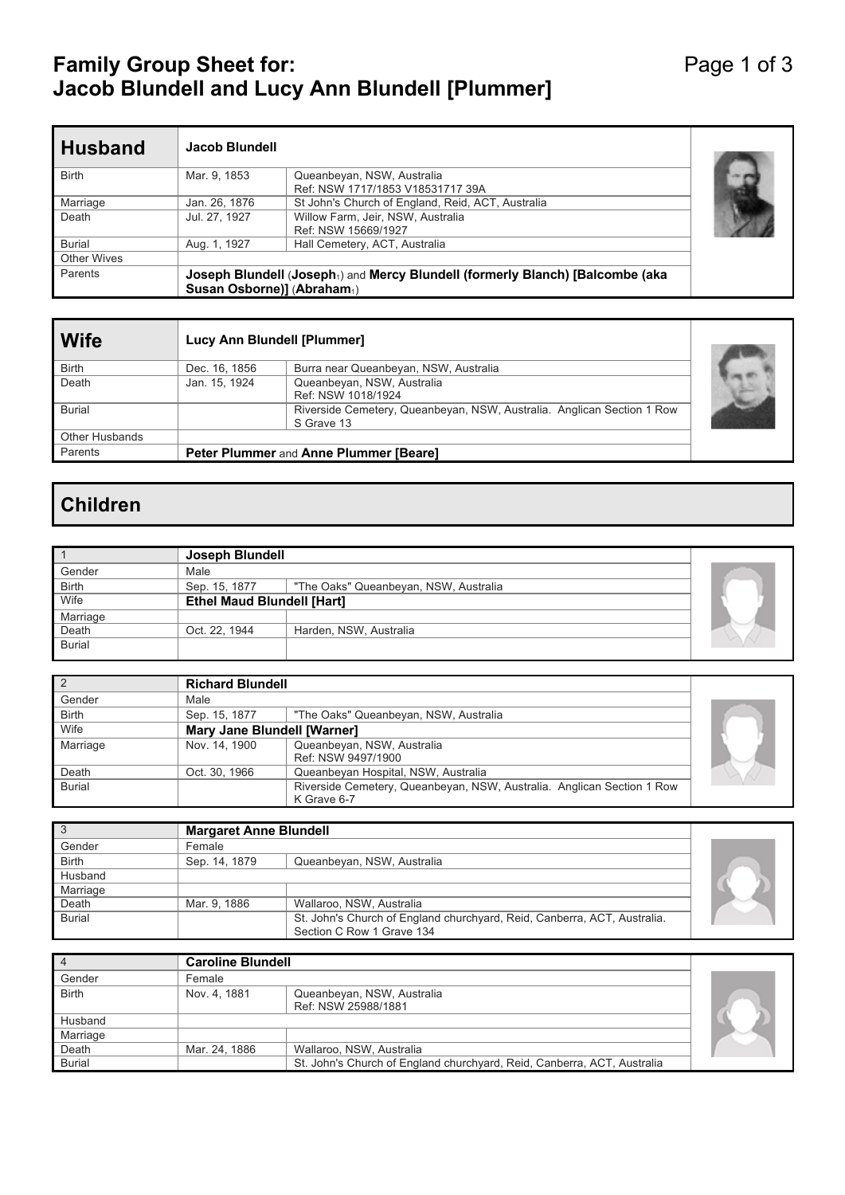## **Family Group Sheet for:** And The Page 1 of 3 **Jacob Blundell and Lucy Ann Blundell [Plummer]**

| <b>Husband</b> | Jacob Blundell             |                                                                                            |  |
|----------------|----------------------------|--------------------------------------------------------------------------------------------|--|
| <b>Birth</b>   | Mar. 9, 1853               | Queanbeyan, NSW, Australia<br>Ref: NSW 1717/1853 V18531717 39A                             |  |
| Marriage       | Jan. 26, 1876              | St John's Church of England, Reid, ACT, Australia                                          |  |
| Death          | Jul. 27, 1927              | Willow Farm, Jeir, NSW, Australia<br>Ref: NSW 15669/1927                                   |  |
| <b>Burial</b>  | Aug. 1, 1927               | Hall Cemetery, ACT, Australia                                                              |  |
| Other Wives    |                            |                                                                                            |  |
| Parents        | Susan Osborne)] (Abraham1) | Joseph Blundell (Joseph <sub>1</sub> ) and Mercy Blundell (formerly Blanch) [Balcombe (aka |  |

| <b>Wife</b>           | Lucy Ann Blundell [Plummer] |                                                                                      |  |
|-----------------------|-----------------------------|--------------------------------------------------------------------------------------|--|
| <b>Birth</b>          | Dec. 16, 1856               | Burra near Queanbeyan, NSW, Australia                                                |  |
| Death                 | Jan. 15, 1924               | Queanbeyan, NSW, Australia<br>Ref: NSW 1018/1924                                     |  |
| <b>Burial</b>         |                             | Riverside Cemetery, Queanbeyan, NSW, Australia. Anglican Section 1 Row<br>S Grave 13 |  |
| <b>Other Husbands</b> |                             |                                                                                      |  |
| Parents               |                             | <b>Peter Plummer and Anne Plummer [Beare]</b>                                        |  |

# **Children**

|               | Joseph Blundell                   |                                       |  |
|---------------|-----------------------------------|---------------------------------------|--|
| Gender        | Male                              |                                       |  |
| <b>Birth</b>  | Sep. 15, 1877                     | "The Oaks" Queanbeyan, NSW, Australia |  |
| Wife          | <b>Ethel Maud Blundell [Hart]</b> |                                       |  |
| Marriage      |                                   |                                       |  |
| Death         | Oct. 22, 1944                     | Harden, NSW, Australia                |  |
| <b>Burial</b> |                                   |                                       |  |

|               | <b>Richard Blundell</b>            |                                                                        |  |
|---------------|------------------------------------|------------------------------------------------------------------------|--|
| Gender        | Male                               |                                                                        |  |
| <b>Birth</b>  | Sep. 15, 1877                      | "The Oaks" Queanbeyan, NSW, Australia                                  |  |
| Wife          | <b>Mary Jane Blundell [Warner]</b> |                                                                        |  |
| Marriage      | Nov. 14, 1900                      | Queanbeyan, NSW, Australia                                             |  |
|               |                                    | Ref: NSW 9497/1900                                                     |  |
| Death         | Oct. 30, 1966                      | Queanbeyan Hospital, NSW, Australia                                    |  |
| <b>Burial</b> |                                    | Riverside Cemetery, Queanbeyan, NSW, Australia. Anglican Section 1 Row |  |
|               |                                    | K Grave 6-7                                                            |  |

|               | <b>Margaret Anne Blundell</b> |                                                                                                       |  |
|---------------|-------------------------------|-------------------------------------------------------------------------------------------------------|--|
| Gender        | Female                        |                                                                                                       |  |
| <b>Birth</b>  | Sep. 14, 1879                 | Queanbeyan, NSW, Australia                                                                            |  |
| Husband       |                               |                                                                                                       |  |
| Marriage      |                               |                                                                                                       |  |
| Death         | Mar. 9, 1886                  | Wallaroo, NSW, Australia                                                                              |  |
| <b>Burial</b> |                               | St. John's Church of England churchyard, Reid, Canberra, ACT, Australia.<br>Section C Row 1 Grave 134 |  |

|               | <b>Caroline Blundell</b> |                                                                         |  |
|---------------|--------------------------|-------------------------------------------------------------------------|--|
| Gender        | Female                   |                                                                         |  |
| Birth         | Nov. 4, 1881             | Queanbeyan, NSW, Australia                                              |  |
|               |                          | Ref: NSW 25988/1881                                                     |  |
| Husband       |                          |                                                                         |  |
| Marriage      |                          |                                                                         |  |
| Death         | Mar. 24, 1886            | Wallaroo, NSW, Australia                                                |  |
| <b>Burial</b> |                          | St. John's Church of England churchyard, Reid, Canberra, ACT, Australia |  |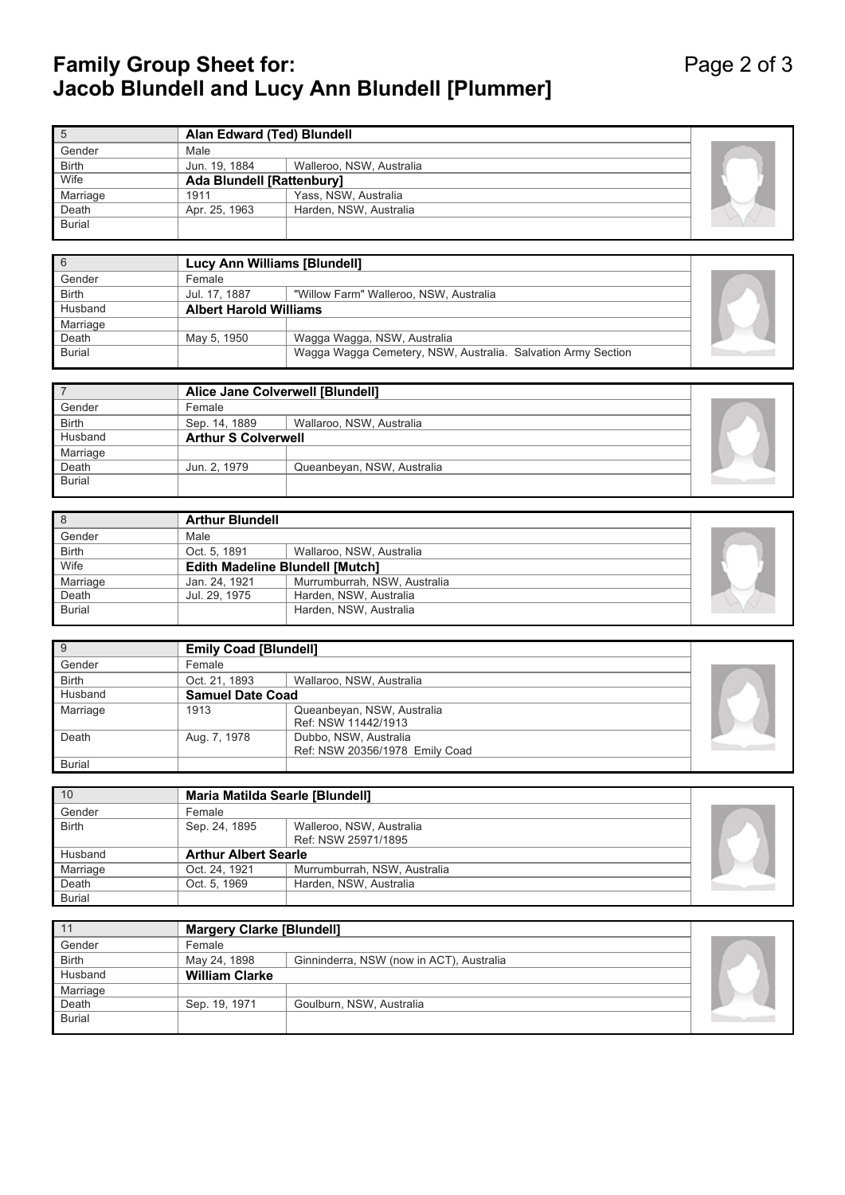## **Family Group Sheet for:** And The Page 2 of 3 **Jacob Blundell and Lucy Ann Blundell [Plummer]**

|               | Alan Edward (Ted) Blundell       |                          |  |
|---------------|----------------------------------|--------------------------|--|
| Gender        | Male                             |                          |  |
| <b>Birth</b>  | Jun. 19, 1884                    | Walleroo, NSW, Australia |  |
| Wife          | <b>Ada Blundell [Rattenbury]</b> |                          |  |
| Marriage      | 1911                             | Yass, NSW, Australia     |  |
| Death         | Apr. 25, 1963                    | Harden, NSW, Australia   |  |
| <b>Burial</b> |                                  |                          |  |

|               | Lucy Ann Williams [Blundell]  |                                                              |  |
|---------------|-------------------------------|--------------------------------------------------------------|--|
| Gender        | Female                        |                                                              |  |
| <b>Birth</b>  | Jul. 17, 1887                 | "Willow Farm" Walleroo, NSW, Australia                       |  |
| Husband       | <b>Albert Harold Williams</b> |                                                              |  |
| Marriage      |                               |                                                              |  |
| Death         | May 5, 1950                   | Wagga Wagga, NSW, Australia                                  |  |
| <b>Burial</b> |                               | Wagga Wagga Cemetery, NSW, Australia. Salvation Army Section |  |

|               | Alice Jane Colverwell [Blundell] |                            |  |
|---------------|----------------------------------|----------------------------|--|
| Gender        | Female                           |                            |  |
| <b>Birth</b>  | Sep. 14, 1889                    | Wallaroo, NSW, Australia   |  |
| Husband       | <b>Arthur S Colverwell</b>       |                            |  |
| Marriage      |                                  |                            |  |
| Death         | Jun. 2, 1979                     | Queanbeyan, NSW, Australia |  |
| <b>Burial</b> |                                  |                            |  |
|               |                                  |                            |  |

| 8             | <b>Arthur Blundell</b>                 |                              |  |
|---------------|----------------------------------------|------------------------------|--|
| Gender        | Male                                   |                              |  |
| <b>Birth</b>  | Oct. 5, 1891                           | Wallaroo, NSW, Australia     |  |
| Wife          | <b>Edith Madeline Blundell [Mutch]</b> |                              |  |
| Marriage      | Jan. 24, 1921                          | Murrumburrah, NSW, Australia |  |
| Death         | Jul. 29, 1975                          | Harden, NSW, Australia       |  |
| <b>Burial</b> |                                        | Harden, NSW, Australia       |  |

| 9             | <b>Emily Coad [Blundell]</b> |                                |  |
|---------------|------------------------------|--------------------------------|--|
| Gender        | Female                       |                                |  |
| <b>Birth</b>  | Oct. 21, 1893                | Wallaroo, NSW, Australia       |  |
| Husband       | <b>Samuel Date Coad</b>      |                                |  |
| Marriage      | 1913                         | Queanbeyan, NSW, Australia     |  |
|               |                              | Ref: NSW 11442/1913            |  |
| Death         | Aug. 7, 1978                 | Dubbo, NSW, Australia          |  |
|               |                              | Ref: NSW 20356/1978 Emily Coad |  |
| <b>Burial</b> |                              |                                |  |

| 10            |               | <b>Maria Matilda Searle [Blundell]</b>          |  |  |
|---------------|---------------|-------------------------------------------------|--|--|
| Gender        | Female        |                                                 |  |  |
| <b>Birth</b>  | Sep. 24, 1895 | Walleroo, NSW, Australia<br>Ref: NSW 25971/1895 |  |  |
| Husband       |               | <b>Arthur Albert Searle</b>                     |  |  |
| Marriage      | Oct. 24, 1921 | Murrumburrah, NSW, Australia                    |  |  |
| Death         | Oct. 5, 1969  | Harden, NSW, Australia                          |  |  |
| <b>Burial</b> |               |                                                 |  |  |

| 11            | <b>Margery Clarke [Blundell]</b> |                                          |  |
|---------------|----------------------------------|------------------------------------------|--|
| Gender        | Female                           |                                          |  |
| <b>Birth</b>  | May 24, 1898                     | Ginninderra, NSW (now in ACT), Australia |  |
| Husband       | <b>William Clarke</b>            |                                          |  |
| Marriage      |                                  |                                          |  |
| Death         | Sep. 19, 1971                    | Goulburn, NSW, Australia                 |  |
| <b>Burial</b> |                                  |                                          |  |
|               |                                  |                                          |  |